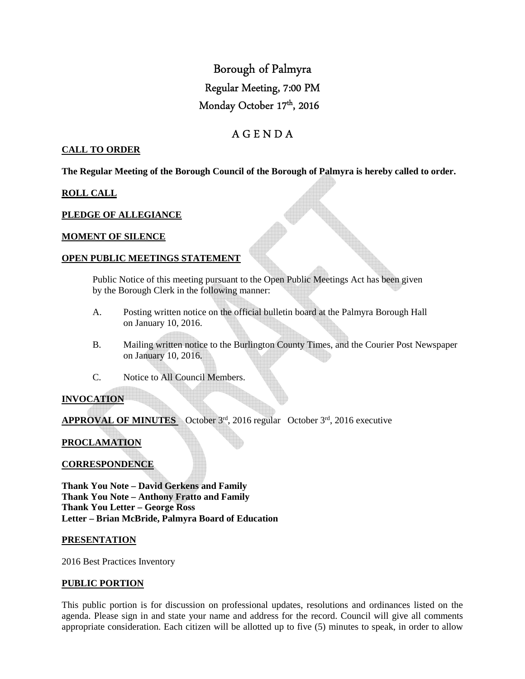# Borough of Palmyra Regular Meeting, 7:00 PM Monday October 17<sup>th</sup>, 2016

# A G E N D A

#### **CALL TO ORDER**

**The Regular Meeting of the Borough Council of the Borough of Palmyra is hereby called to order.** 

### **ROLL CALL**

### **PLEDGE OF ALLEGIANCE**

#### **MOMENT OF SILENCE**

#### **OPEN PUBLIC MEETINGS STATEMENT**

 Public Notice of this meeting pursuant to the Open Public Meetings Act has been given by the Borough Clerk in the following manner:

- A. Posting written notice on the official bulletin board at the Palmyra Borough Hall on January 10, 2016.
- B. Mailing written notice to the Burlington County Times, and the Courier Post Newspaper on January 10, 2016.
- C. Notice to All Council Members.

# **INVOCATION**

**APPROVAL OF MINUTES** October 3rd, 2016 regular October 3rd, 2016 executive

# **PROCLAMATION**

#### **CORRESPONDENCE**

**Thank You Note – David Gerkens and Family Thank You Note – Anthony Fratto and Family Thank You Letter – George Ross Letter – Brian McBride, Palmyra Board of Education** 

#### **PRESENTATION**

2016 Best Practices Inventory

#### **PUBLIC PORTION**

This public portion is for discussion on professional updates, resolutions and ordinances listed on the agenda. Please sign in and state your name and address for the record. Council will give all comments appropriate consideration. Each citizen will be allotted up to five (5) minutes to speak, in order to allow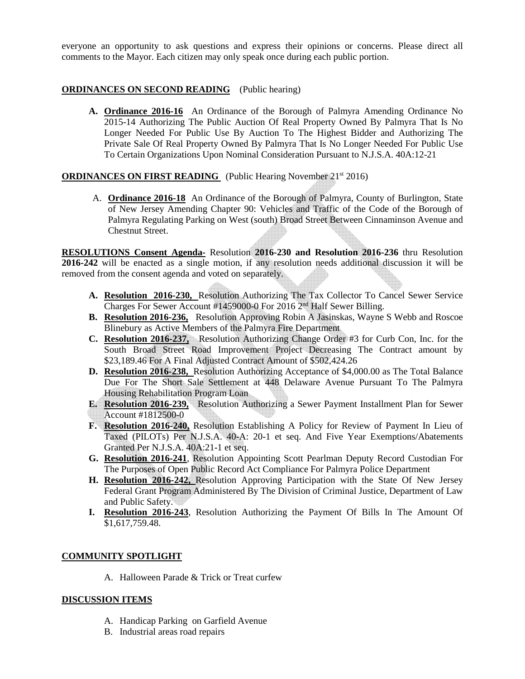everyone an opportunity to ask questions and express their opinions or concerns. Please direct all comments to the Mayor. Each citizen may only speak once during each public portion.

# **ORDINANCES ON SECOND READING** (Public hearing)

**A. Ordinance 2016-16** An Ordinance of the Borough of Palmyra Amending Ordinance No 2015-14 Authorizing The Public Auction Of Real Property Owned By Palmyra That Is No Longer Needed For Public Use By Auction To The Highest Bidder and Authorizing The Private Sale Of Real Property Owned By Palmyra That Is No Longer Needed For Public Use To Certain Organizations Upon Nominal Consideration Pursuant to N.J.S.A. 40A:12-21

### **ORDINANCES ON FIRST READING** (Public Hearing November 21<sup>st</sup> 2016)

A. **Ordinance 2016-18** An Ordinance of the Borough of Palmyra, County of Burlington, State of New Jersey Amending Chapter 90: Vehicles and Traffic of the Code of the Borough of Palmyra Regulating Parking on West (south) Broad Street Between Cinnaminson Avenue and Chestnut Street.

**RESOLUTIONS Consent Agenda-** Resolution **2016-230 and Resolution 2016-236** thru Resolution **2016-242** will be enacted as a single motion, if any resolution needs additional discussion it will be removed from the consent agenda and voted on separately.

- **A. Resolution 2016-230,** Resolution Authorizing The Tax Collector To Cancel Sewer Service Charges For Sewer Account #1459000-0 For 2016 2nd Half Sewer Billing.
- **B. Resolution 2016-236,** Resolution Approving Robin A Jasinskas, Wayne S Webb and Roscoe Blinebury as Active Members of the Palmyra Fire Department
- **C. Resolution 2016-237,** Resolution Authorizing Change Order #3 for Curb Con, Inc. for the South Broad Street Road Improvement Project Decreasing The Contract amount by \$23,189.46 For A Final Adjusted Contract Amount of \$502,424.26
- **D. Resolution 2016-238,** Resolution Authorizing Acceptance of \$4,000.00 as The Total Balance Due For The Short Sale Settlement at 448 Delaware Avenue Pursuant To The Palmyra Housing Rehabilitation Program Loan
- **E. Resolution 2016-239,** Resolution Authorizing a Sewer Payment Installment Plan for Sewer Account #1812500-0
- **F. Resolution 2016-240,** Resolution Establishing A Policy for Review of Payment In Lieu of Taxed (PILOTs) Per N.J.S.A. 40-A: 20-1 et seq. And Five Year Exemptions/Abatements Granted Per N.J.S.A. 40A:21-1 et seq.
- **G. Resolution 2016-241**, Resolution Appointing Scott Pearlman Deputy Record Custodian For The Purposes of Open Public Record Act Compliance For Palmyra Police Department
- **H. Resolution 2016-242,** Resolution Approving Participation with the State Of New Jersey Federal Grant Program Administered By The Division of Criminal Justice, Department of Law and Public Safety.
- **I. Resolution 2016-243**, Resolution Authorizing the Payment Of Bills In The Amount Of \$1,617,759.48.

# **COMMUNITY SPOTLIGHT**

A. Halloween Parade & Trick or Treat curfew

#### **DISCUSSION ITEMS**

- A. Handicap Parking on Garfield Avenue
- B. Industrial areas road repairs